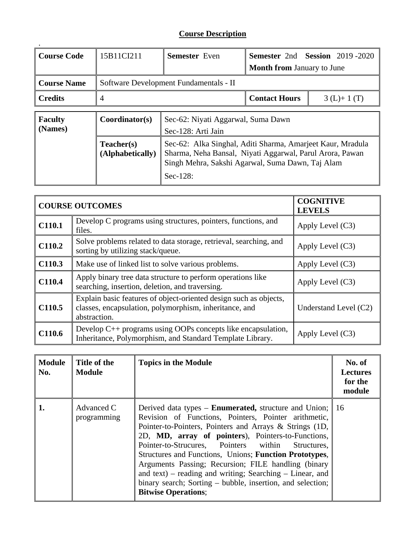## **Course Description**

| <b>Course Code</b>                                                                                                                                                                                                       | 15B11CI211     | <b>Semester</b> Even                                     |                                   | <b>Semester 2nd Session 2019-2020</b> |  |
|--------------------------------------------------------------------------------------------------------------------------------------------------------------------------------------------------------------------------|----------------|----------------------------------------------------------|-----------------------------------|---------------------------------------|--|
|                                                                                                                                                                                                                          |                |                                                          | <b>Month from January to June</b> |                                       |  |
| <b>Course Name</b>                                                                                                                                                                                                       |                | Software Development Fundamentals - II                   |                                   |                                       |  |
| <b>Credits</b>                                                                                                                                                                                                           | 4              | <b>Contact Hours</b><br>$3(L)+1(T)$                      |                                   |                                       |  |
| <b>Faculty</b><br>(Names)                                                                                                                                                                                                | Coordinator(s) | Sec-62: Niyati Aggarwal, Suma Dawn<br>Sec-128: Arti Jain |                                   |                                       |  |
| Teacher(s)<br>Sec-62: Alka Singhal, Aditi Sharma, Amarjeet Kaur, Mradula<br>Sharma, Neha Bansal, Niyati Aggarwal, Parul Arora, Pawan<br>(Alphabetically)<br>Singh Mehra, Sakshi Agarwal, Suma Dawn, Taj Alam<br>Sec-128: |                |                                                          |                                   |                                       |  |

|                    | <b>COURSE OUTCOMES</b>                                                                                                                      | <b>COGNITIVE</b><br><b>LEVELS</b> |
|--------------------|---------------------------------------------------------------------------------------------------------------------------------------------|-----------------------------------|
| C110.1             | Develop C programs using structures, pointers, functions, and<br>files.                                                                     | Apply Level $(C3)$                |
| C110.2             | Solve problems related to data storage, retrieval, searching, and<br>sorting by utilizing stack/queue.                                      | Apply Level $(C3)$                |
| C110.3             | Make use of linked list to solve various problems.                                                                                          | Apply Level $(C3)$                |
| C110.4             | Apply binary tree data structure to perform operations like<br>searching, insertion, deletion, and traversing.                              | Apply Level $(C3)$                |
| C <sub>110.5</sub> | Explain basic features of object-oriented design such as objects,<br>classes, encapsulation, polymorphism, inheritance, and<br>abstraction. | Understand Level (C2)             |
| C110.6             | Develop $C_{++}$ programs using OOPs concepts like encapsulation,<br>Inheritance, Polymorphism, and Standard Template Library.              | Apply Level $(C3)$                |

| <b>Module</b><br>No. | Title of the<br><b>Module</b> | <b>Topics in the Module</b>                                                                                                                                                                                                                                                                                                                                                                                                                                                                                                                                             | No. of<br><b>Lectures</b><br>for the<br>module |
|----------------------|-------------------------------|-------------------------------------------------------------------------------------------------------------------------------------------------------------------------------------------------------------------------------------------------------------------------------------------------------------------------------------------------------------------------------------------------------------------------------------------------------------------------------------------------------------------------------------------------------------------------|------------------------------------------------|
|                      | Advanced C<br>programming     | Derived data types – <b>Enumerated</b> , structure and Union;<br>Revision of Functions, Pointers, Pointer arithmetic,<br>Pointer-to-Pointers, Pointers and Arrays & Strings (1D,<br>2D, MD, array of pointers), Pointers-to-Functions,<br>Pointer-to-Strucures, Pointers within<br>Structures.<br>Structures and Functions, Unions; Function Prototypes,<br>Arguments Passing; Recursion; FILE handling (binary<br>and text) – reading and writing; Searching – Linear, and<br>binary search; Sorting – bubble, insertion, and selection;<br><b>Bitwise Operations;</b> | 16                                             |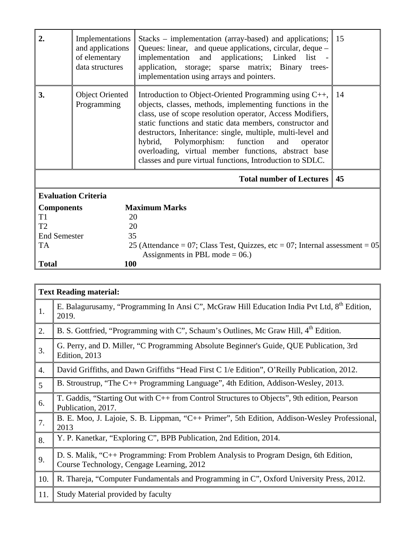| 2.                   | Implementations<br>and applications<br>of elementary<br>data structures | Stacks – implementation (array-based) and applications;<br>Queues: linear, and queue applications, circular, deque -<br>implementation and applications; Linked list -<br>application, storage; sparse matrix; Binary<br>trees-<br>implementation using arrays and pointers.                                                                                                                                                                                                        | 15 |
|----------------------|-------------------------------------------------------------------------|-------------------------------------------------------------------------------------------------------------------------------------------------------------------------------------------------------------------------------------------------------------------------------------------------------------------------------------------------------------------------------------------------------------------------------------------------------------------------------------|----|
| 3.                   | <b>Object Oriented</b><br>Programming                                   | Introduction to Object-Oriented Programming using C++,<br>objects, classes, methods, implementing functions in the<br>class, use of scope resolution operator, Access Modifiers,<br>static functions and static data members, constructor and<br>destructors, Inheritance: single, multiple, multi-level and<br>hybrid, Polymorphism: function and<br>operator<br>overloading, virtual member functions, abstract base<br>classes and pure virtual functions, Introduction to SDLC. | 14 |
|                      |                                                                         | <b>Total number of Lectures</b>                                                                                                                                                                                                                                                                                                                                                                                                                                                     | 45 |
|                      | <b>Evaluation Criteria</b>                                              |                                                                                                                                                                                                                                                                                                                                                                                                                                                                                     |    |
| <b>Components</b>    |                                                                         | <b>Maximum Marks</b>                                                                                                                                                                                                                                                                                                                                                                                                                                                                |    |
| T <sub>1</sub>       | 20                                                                      |                                                                                                                                                                                                                                                                                                                                                                                                                                                                                     |    |
| T <sub>2</sub><br>20 |                                                                         |                                                                                                                                                                                                                                                                                                                                                                                                                                                                                     |    |
| <b>End Semester</b>  | 35                                                                      |                                                                                                                                                                                                                                                                                                                                                                                                                                                                                     |    |
| <b>TA</b>            |                                                                         | 25 (Attendance = 07; Class Test, Quizzes, etc = 07; Internal assessment = $05$                                                                                                                                                                                                                                                                                                                                                                                                      |    |
|                      |                                                                         | Assignments in PBL mode = $06$ .)                                                                                                                                                                                                                                                                                                                                                                                                                                                   |    |
| <b>Total</b>         | 100                                                                     |                                                                                                                                                                                                                                                                                                                                                                                                                                                                                     |    |

|                  | <b>Text Reading material:</b>                                                                                                     |
|------------------|-----------------------------------------------------------------------------------------------------------------------------------|
| 1.               | E. Balagurusamy, "Programming In Ansi C", McGraw Hill Education India Pvt Ltd, 8 <sup>th</sup> Edition,<br>2019.                  |
| 2.               | B. S. Gottfried, "Programming with C", Schaum's Outlines, Mc Graw Hill, 4 <sup>th</sup> Edition.                                  |
| 3.               | G. Perry, and D. Miller, "C Programming Absolute Beginner's Guide, QUE Publication, 3rd<br>Edition, 2013                          |
| $\overline{4}$ . | David Griffiths, and Dawn Griffiths "Head First C 1/e Edition", O'Reilly Publication, 2012.                                       |
| $\overline{5}$   | B. Stroustrup, "The C++ Programming Language", 4th Edition, Addison-Wesley, 2013.                                                 |
| 6.               | T. Gaddis, "Starting Out with C++ from Control Structures to Objects", 9th edition, Pearson<br>Publication, 2017.                 |
| 7.               | B. E. Moo, J. Lajoie, S. B. Lippman, "C++ Primer", 5th Edition, Addison-Wesley Professional,<br>2013                              |
| 8.               | Y. P. Kanetkar, "Exploring C", BPB Publication, 2nd Edition, 2014.                                                                |
| 9.               | D. S. Malik, "C++ Programming: From Problem Analysis to Program Design, 6th Edition,<br>Course Technology, Cengage Learning, 2012 |
| 10.              | R. Thareja, "Computer Fundamentals and Programming in C", Oxford University Press, 2012.                                          |
| 11.              | Study Material provided by faculty                                                                                                |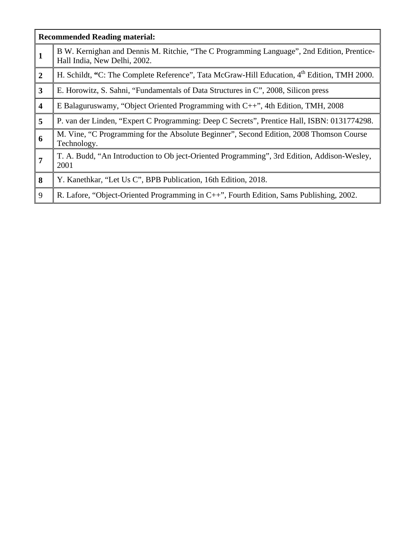|                         | <b>Recommended Reading material:</b>                                                                                       |
|-------------------------|----------------------------------------------------------------------------------------------------------------------------|
| 1                       | B W. Kernighan and Dennis M. Ritchie, "The C Programming Language", 2nd Edition, Prentice-<br>Hall India, New Delhi, 2002. |
| $\overline{2}$          | H. Schildt, "C: The Complete Reference", Tata McGraw-Hill Education, 4 <sup>th</sup> Edition, TMH 2000.                    |
| $\overline{3}$          | E. Horowitz, S. Sahni, "Fundamentals of Data Structures in C", 2008, Silicon press                                         |
| $\overline{\mathbf{4}}$ | E Balaguruswamy, "Object Oriented Programming with $C++$ ", 4th Edition, TMH, 2008                                         |
| 5                       | P. van der Linden, "Expert C Programming: Deep C Secrets", Prentice Hall, ISBN: 0131774298.                                |
| 6                       | M. Vine, "C Programming for the Absolute Beginner", Second Edition, 2008 Thomson Course<br>Technology.                     |
| 7                       | T. A. Budd, "An Introduction to Ob ject-Oriented Programming", 3rd Edition, Addison-Wesley,<br>2001                        |
| 8                       | Y. Kanethkar, "Let Us C", BPB Publication, 16th Edition, 2018.                                                             |
| 9                       | R. Lafore, "Object-Oriented Programming in C++", Fourth Edition, Sams Publishing, 2002.                                    |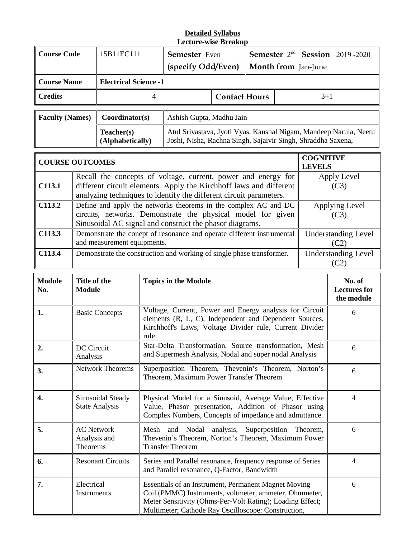#### **Detailed Syllabus Lecture-wise Breakup**

| <b>Course Code</b>                                   |                                                                                                                                 | 15B11EC111                     | <b>Semester</b> Even<br>(specify Odd/Even)                                                                                        |                                                                                                                                                                                                           | <b>Semester</b> 2 <sup>nd</sup> <b>Session</b> 2019-2020<br><b>Month from</b> Jan-June |  |                                   |
|------------------------------------------------------|---------------------------------------------------------------------------------------------------------------------------------|--------------------------------|-----------------------------------------------------------------------------------------------------------------------------------|-----------------------------------------------------------------------------------------------------------------------------------------------------------------------------------------------------------|----------------------------------------------------------------------------------------|--|-----------------------------------|
| <b>Course Name</b>                                   |                                                                                                                                 | <b>Electrical Science -1</b>   |                                                                                                                                   |                                                                                                                                                                                                           |                                                                                        |  |                                   |
| <b>Credits</b><br>$3+1$<br><b>Contact Hours</b><br>4 |                                                                                                                                 |                                |                                                                                                                                   |                                                                                                                                                                                                           |                                                                                        |  |                                   |
| <b>Faculty (Names)</b>                               |                                                                                                                                 | Coordinator(s)                 | Ashish Gupta, Madhu Jain                                                                                                          |                                                                                                                                                                                                           |                                                                                        |  |                                   |
|                                                      |                                                                                                                                 | Teacher(s)<br>(Alphabetically) | Atul Srivastava, Jyoti Vyas, Kaushal Nigam, Mandeep Narula, Neetu<br>Joshi, Nisha, Rachna Singh, Sajaivir Singh, Shraddha Saxena, |                                                                                                                                                                                                           |                                                                                        |  |                                   |
| <b>COURSE OUTCOMES</b>                               |                                                                                                                                 |                                |                                                                                                                                   |                                                                                                                                                                                                           |                                                                                        |  | <b>COGNITIVE</b><br><b>LEVELS</b> |
| C113.1                                               |                                                                                                                                 |                                |                                                                                                                                   | Recall the concepts of voltage, current, power and energy for<br>different circuit elements. Apply the Kirchhoff laws and different<br>analyzing techniques to identify the different circuit parameters. |                                                                                        |  | Apply Level<br>(C3)               |
| C113.2                                               | Define and apply the networks theorems in the complex AC and DC<br>circuits, networks. Demonstrate the physical model for given |                                |                                                                                                                                   | Applying Level<br>(C3)                                                                                                                                                                                    |                                                                                        |  |                                   |

|                | encans, networks. Demonstrate the physical moder for given<br>Sinusoidal AC signal and construct the phasor diagrams. | ししょり                              |
|----------------|-----------------------------------------------------------------------------------------------------------------------|-----------------------------------|
| $\vert$ C113.3 | Demonstrate the conept of resonance and operate different instrumental<br>and measurement equipments.                 | <b>Understanding Level</b>        |
| C113.4         | Demonstrate the construction and working of single phase transformer.                                                 | <b>Understanding Level</b><br>(C2 |

| <b>Module</b><br>No. | Title of the<br><b>Module</b>                        | <b>Topics in the Module</b>                                                                                                                                                                                                        | No. of<br><b>Lectures for</b><br>the module |
|----------------------|------------------------------------------------------|------------------------------------------------------------------------------------------------------------------------------------------------------------------------------------------------------------------------------------|---------------------------------------------|
| 1.                   | <b>Basic Concepts</b>                                | Voltage, Current, Power and Energy analysis for Circuit<br>elements (R, L, C), Independent and Dependent Sources,<br>Kirchhoff's Laws, Voltage Divider rule, Current Divider<br>rule                                               | 6                                           |
| 2.                   | DC Circuit<br>Analysis                               | Star-Delta Transformation, Source transformation, Mesh<br>and Supermesh Analysis, Nodal and super nodal Analysis                                                                                                                   | 6                                           |
| 3.                   | <b>Network Theorems</b>                              | Superposition Theorem, Thevenin's Theorem, Norton's<br>Theorem, Maximum Power Transfer Theorem                                                                                                                                     | 6                                           |
| $\overline{4}$ .     | Sinusoidal Steady<br><b>State Analysis</b>           | Physical Model for a Sinusoid, Average Value, Effective<br>Value, Phasor presentation, Addition of Phasor using<br>Complex Numbers, Concepts of impedance and admittance.                                                          | $\overline{4}$                              |
| 5.                   | <b>AC Network</b><br>Analysis and<br><b>Theorems</b> | Mesh and Nodal analysis, Superposition Theorem,<br>Thevenin's Theorem, Norton's Theorem, Maximum Power<br><b>Transfer Theorem</b>                                                                                                  | 6                                           |
| 6.                   | <b>Resonant Circuits</b>                             | Series and Parallel resonance, frequency response of Series<br>and Parallel resonance, Q-Factor, Bandwidth                                                                                                                         | $\overline{4}$                              |
| 7.                   | Electrical<br>Instruments                            | Essentials of an Instrument, Permanent Magnet Moving<br>Coil (PMMC) Instruments, voltmeter, ammeter, Ohmmeter,<br>Meter Sensitivity (Ohms-Per-Volt Rating); Loading Effect;<br>Multimeter; Cathode Ray Oscilloscope: Construction, | 6                                           |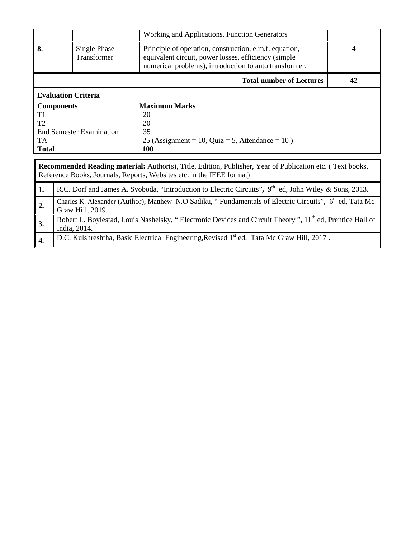|                                 |                                                                                                                                         | Working and Applications. Function Generators                                                                                                                                      |   |  |  |  |
|---------------------------------|-----------------------------------------------------------------------------------------------------------------------------------------|------------------------------------------------------------------------------------------------------------------------------------------------------------------------------------|---|--|--|--|
| 8.                              | Single Phase<br>Transformer                                                                                                             | Principle of operation, construction, e.m.f. equation,<br>equivalent circuit, power losses, efficiency (simple<br>numerical problems), introduction to auto transformer.           | 4 |  |  |  |
| <b>Total number of Lectures</b> |                                                                                                                                         |                                                                                                                                                                                    |   |  |  |  |
|                                 | <b>Evaluation Criteria</b>                                                                                                              |                                                                                                                                                                                    |   |  |  |  |
|                                 | <b>Components</b>                                                                                                                       | <b>Maximum Marks</b>                                                                                                                                                               |   |  |  |  |
| T1                              |                                                                                                                                         | 20                                                                                                                                                                                 |   |  |  |  |
| T <sub>2</sub>                  |                                                                                                                                         | 20                                                                                                                                                                                 |   |  |  |  |
|                                 | <b>End Semester Examination</b>                                                                                                         | 35                                                                                                                                                                                 |   |  |  |  |
| <b>TA</b>                       |                                                                                                                                         | 25 (Assignment = 10, Quiz = 5, Attendance = $10$ )                                                                                                                                 |   |  |  |  |
| <b>Total</b>                    |                                                                                                                                         | <b>100</b>                                                                                                                                                                         |   |  |  |  |
|                                 |                                                                                                                                         |                                                                                                                                                                                    |   |  |  |  |
|                                 |                                                                                                                                         | Recommended Reading material: Author(s), Title, Edition, Publisher, Year of Publication etc. (Text books,<br>Reference Books, Journals, Reports, Websites etc. in the IEEE format) |   |  |  |  |
| 1.                              | R.C. Dorf and James A. Svoboda, "Introduction to Electric Circuits", 9 <sup>th</sup> ed, John Wiley & Sons, 2013.                       |                                                                                                                                                                                    |   |  |  |  |
| 2.                              | Charles K. Alexander (Author), Matthew N.O Sadiku, "Fundamentals of Electric Circuits", 6 <sup>th</sup> ed, Tata Mc<br>Graw Hill, 2019. |                                                                                                                                                                                    |   |  |  |  |
| 3.                              | Robert L. Boylestad, Louis Nashelsky, "Electronic Devices and Circuit Theory", 11 <sup>th</sup> ed, Prentice Hall of<br>India, 2014.    |                                                                                                                                                                                    |   |  |  |  |
| 4.                              |                                                                                                                                         | D.C. Kulshreshtha, Basic Electrical Engineering, Revised 1 <sup>st</sup> ed, Tata Mc Graw Hill, 2017.                                                                              |   |  |  |  |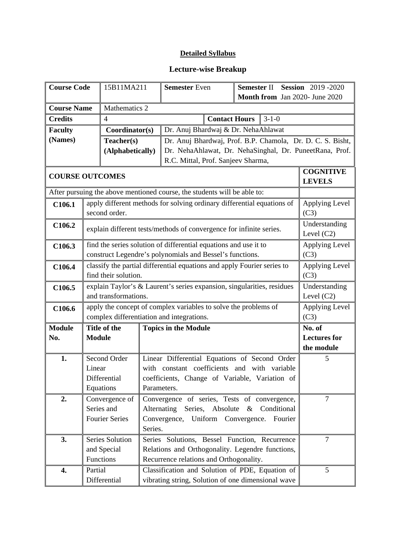## **Detailed Syllabus**

## **Lecture-wise Breakup**

| <b>Course Code</b>     |                                                                         | 15B11MA211                                                      |                        | <b>Semester Even</b><br>Semester II Session 2019-2020                    |                                |                                   |  |
|------------------------|-------------------------------------------------------------------------|-----------------------------------------------------------------|------------------------|--------------------------------------------------------------------------|--------------------------------|-----------------------------------|--|
|                        |                                                                         |                                                                 |                        |                                                                          | Month from Jan 2020- June 2020 |                                   |  |
| <b>Course Name</b>     |                                                                         | Mathematics 2                                                   |                        |                                                                          |                                |                                   |  |
| <b>Credits</b><br>4    |                                                                         |                                                                 |                        | <b>Contact Hours</b>                                                     | $3 - 1 - 0$                    |                                   |  |
| <b>Faculty</b>         |                                                                         | Coordinator(s)                                                  |                        | Dr. Anuj Bhardwaj & Dr. NehaAhlawat                                      |                                |                                   |  |
| (Names)                |                                                                         | Teacher(s)                                                      |                        | Dr. Anuj Bhardwaj, Prof. B.P. Chamola, Dr. D. C. S. Bisht,               |                                |                                   |  |
|                        |                                                                         | (Alphabetically)                                                |                        | Dr. NehaAhlawat, Dr. NehaSinghal, Dr. PuneetRana, Prof.                  |                                |                                   |  |
|                        |                                                                         |                                                                 |                        | R.C. Mittal, Prof. Sanjeev Sharma,                                       |                                |                                   |  |
| <b>COURSE OUTCOMES</b> |                                                                         |                                                                 |                        |                                                                          |                                | <b>COGNITIVE</b><br><b>LEVELS</b> |  |
|                        |                                                                         |                                                                 |                        | After pursuing the above mentioned course, the students will be able to: |                                |                                   |  |
| C106.1                 |                                                                         |                                                                 |                        | apply different methods for solving ordinary differential equations of   |                                | Applying Level                    |  |
|                        |                                                                         | second order.                                                   |                        |                                                                          |                                | (C3)                              |  |
| C106.2                 |                                                                         |                                                                 |                        | explain different tests/methods of convergence for infinite series.      |                                | Understanding<br>Level $(C2)$     |  |
| C106.3                 |                                                                         |                                                                 |                        | find the series solution of differential equations and use it to         |                                | Applying Level                    |  |
|                        |                                                                         |                                                                 |                        | construct Legendre's polynomials and Bessel's functions.                 |                                | (C3)                              |  |
| C106.4                 | classify the partial differential equations and apply Fourier series to | Applying Level                                                  |                        |                                                                          |                                |                                   |  |
|                        |                                                                         | find their solution.                                            |                        | explain Taylor's & Laurent's series expansion, singularities, residues   |                                | (C3)                              |  |
| C106.5                 |                                                                         | Understanding                                                   |                        |                                                                          |                                |                                   |  |
|                        |                                                                         | and transformations.                                            | Level $(C2)$           |                                                                          |                                |                                   |  |
| C106.6                 |                                                                         | apply the concept of complex variables to solve the problems of | Applying Level<br>(C3) |                                                                          |                                |                                   |  |
| <b>Module</b>          |                                                                         | Title of the                                                    |                        | complex differentiation and integrations.<br><b>Topics in the Module</b> |                                | No. of                            |  |
| No.                    |                                                                         |                                                                 |                        |                                                                          |                                | <b>Lectures for</b>               |  |
|                        | <b>Module</b>                                                           |                                                                 |                        |                                                                          |                                | the module                        |  |
| 1.                     |                                                                         | Second Order                                                    |                        | Linear Differential Equations of Second Order                            |                                | 5                                 |  |
|                        | Linear                                                                  |                                                                 |                        | with constant coefficients and with variable                             |                                |                                   |  |
|                        |                                                                         | Differential                                                    |                        | coefficients, Change of Variable, Variation of                           |                                |                                   |  |
|                        |                                                                         | Equations                                                       | Parameters.            |                                                                          |                                |                                   |  |
| 2.                     |                                                                         | Convergence of                                                  |                        | Convergence of series, Tests of convergence,                             |                                | $\overline{7}$                    |  |
|                        | Series and                                                              |                                                                 |                        | Alternating<br>Series, Absolute<br>$\&$<br>Conditional                   |                                |                                   |  |
|                        | <b>Fourier Series</b>                                                   |                                                                 |                        | Convergence,<br>Uniform Convergence.                                     | Fourier                        |                                   |  |
|                        | Series.                                                                 |                                                                 |                        |                                                                          |                                |                                   |  |
| 3.                     |                                                                         | Series Solution                                                 |                        | Series Solutions, Bessel Function, Recurrence                            |                                | $\overline{7}$                    |  |
|                        |                                                                         | and Special                                                     |                        | Relations and Orthogonality. Legendre functions,                         |                                |                                   |  |
|                        |                                                                         | Functions                                                       |                        | Recurrence relations and Orthogonality.                                  |                                |                                   |  |
| 4.                     | Partial                                                                 |                                                                 |                        | Classification and Solution of PDE, Equation of                          |                                | 5                                 |  |
|                        |                                                                         | Differential                                                    |                        | vibrating string, Solution of one dimensional wave                       |                                |                                   |  |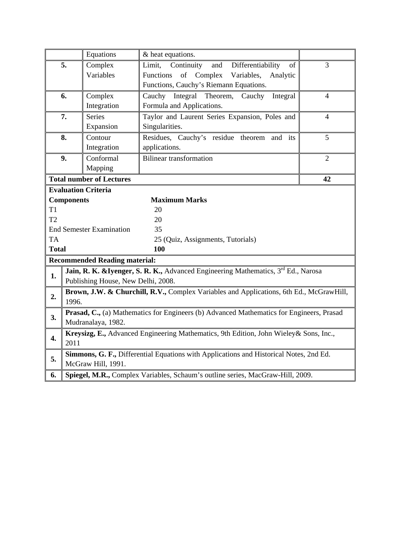|                |                                                                                                 | Equations                            | & heat equations.                                                                      |                |  |  |
|----------------|-------------------------------------------------------------------------------------------------|--------------------------------------|----------------------------------------------------------------------------------------|----------------|--|--|
|                | 5.                                                                                              | Complex                              | Limit,<br>Continuity<br>and<br>Differentiability<br>of                                 | 3              |  |  |
|                |                                                                                                 | Variables                            | of Complex<br>Functions<br>Variables,<br>Analytic                                      |                |  |  |
|                |                                                                                                 |                                      | Functions, Cauchy's Riemann Equations.                                                 |                |  |  |
|                | 6.                                                                                              | Complex                              | Integral Theorem,<br>Cauchy<br>Cauchy<br>Integral                                      | $\overline{4}$ |  |  |
|                |                                                                                                 | Integration                          | Formula and Applications.                                                              |                |  |  |
|                | 7.                                                                                              | <b>Series</b>                        | Taylor and Laurent Series Expansion, Poles and                                         | $\overline{4}$ |  |  |
|                |                                                                                                 | Expansion                            | Singularities.                                                                         |                |  |  |
|                | 8.                                                                                              | Contour                              | Residues, Cauchy's residue theorem and its                                             | 5              |  |  |
|                |                                                                                                 | Integration                          | applications.                                                                          |                |  |  |
|                | 9.                                                                                              | Conformal                            | <b>Bilinear transformation</b>                                                         | $\overline{2}$ |  |  |
|                |                                                                                                 | Mapping                              |                                                                                        |                |  |  |
|                |                                                                                                 | <b>Total number of Lectures</b>      |                                                                                        | 42             |  |  |
|                |                                                                                                 | <b>Evaluation Criteria</b>           |                                                                                        |                |  |  |
|                | <b>Components</b>                                                                               |                                      | <b>Maximum Marks</b>                                                                   |                |  |  |
| T <sub>1</sub> |                                                                                                 |                                      | 20                                                                                     |                |  |  |
| T <sub>2</sub> |                                                                                                 |                                      | 20                                                                                     |                |  |  |
|                | 35<br><b>End Semester Examination</b>                                                           |                                      |                                                                                        |                |  |  |
| <b>TA</b>      |                                                                                                 |                                      | 25 (Quiz, Assignments, Tutorials)                                                      |                |  |  |
| <b>Total</b>   |                                                                                                 |                                      | 100                                                                                    |                |  |  |
|                |                                                                                                 | <b>Recommended Reading material:</b> |                                                                                        |                |  |  |
| 1.             |                                                                                                 |                                      | Jain, R. K. & Iyenger, S. R. K., Advanced Engineering Mathematics, 3rd Ed., Narosa     |                |  |  |
|                | Publishing House, New Delhi, 2008.                                                              |                                      |                                                                                        |                |  |  |
| 2.             | Brown, J.W. & Churchill, R.V., Complex Variables and Applications, 6th Ed., McGrawHill,         |                                      |                                                                                        |                |  |  |
|                | 1996.                                                                                           |                                      |                                                                                        |                |  |  |
| 3.             | <b>Prasad, C., (a)</b> Mathematics for Engineers (b) Advanced Mathematics for Engineers, Prasad |                                      |                                                                                        |                |  |  |
|                | Mudranalaya, 1982.                                                                              |                                      |                                                                                        |                |  |  |
| 4.             |                                                                                                 |                                      | Kreysizg, E., Advanced Engineering Mathematics, 9th Edition, John Wieley & Sons, Inc., |                |  |  |
|                | 2011                                                                                            |                                      |                                                                                        |                |  |  |
| 5.             |                                                                                                 |                                      | Simmons, G. F., Differential Equations with Applications and Historical Notes, 2nd Ed. |                |  |  |
|                |                                                                                                 | McGraw Hill, 1991.                   |                                                                                        |                |  |  |
| 6.             | Spiegel, M.R., Complex Variables, Schaum's outline series, MacGraw-Hill, 2009.                  |                                      |                                                                                        |                |  |  |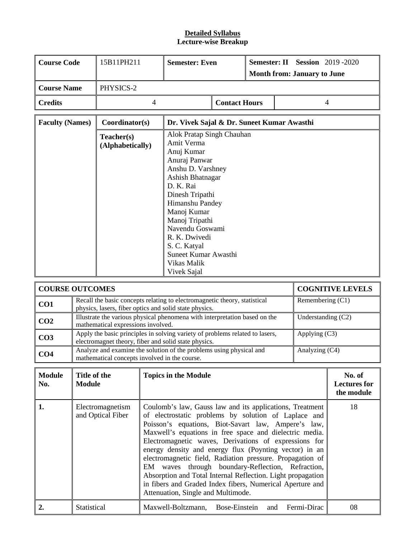#### **Detailed Syllabus Lecture-wise Breakup**

| Course Code    | 15B11PH211 | <b>Semester: Even</b> |                      | <b>Semester: II Session</b> 2019 -2020<br><b>Month from: January to June</b> |
|----------------|------------|-----------------------|----------------------|------------------------------------------------------------------------------|
| Course Name    | PHYSICS-2  |                       |                      |                                                                              |
| <b>Credits</b> |            |                       | <b>Contact Hours</b> |                                                                              |

| <b>Faculty (Names)</b> | Coordinator(s)                 | Dr. Vivek Sajal & Dr. Suneet Kumar Awasthi                                                                                                                                                                             |
|------------------------|--------------------------------|------------------------------------------------------------------------------------------------------------------------------------------------------------------------------------------------------------------------|
|                        | Teacher(s)<br>(Alphabetically) | Alok Pratap Singh Chauhan<br>Amit Verma<br>Anuj Kumar<br>Anuraj Panwar<br>Anshu D. Varshney<br>Ashish Bhatnagar<br>D. K. Rai<br>Dinesh Tripathi<br>Himanshu Pandey<br>Manoj Kumar<br>Manoj Tripathi<br>Navendu Goswami |
|                        |                                | R. K. Dwivedi<br>S. C. Katyal<br>Suneet Kumar Awasthi<br>Vikas Malik<br>Vivek Sajal                                                                                                                                    |

| <b>COURSE OUTCOMES</b> |                                                                                                                                      | <b>COGNITIVE LEVELS</b> |
|------------------------|--------------------------------------------------------------------------------------------------------------------------------------|-------------------------|
| CO <sub>1</sub>        | Recall the basic concepts relating to electromagnetic theory, statistical<br>physics, lasers, fiber optics and solid state physics.  | Remembering $(C1)$      |
| CO <sub>2</sub>        | Illustrate the various physical phenomena with interpretation based on the<br>mathematical expressions involved.                     | Understanding $(C2)$    |
| CO <sub>3</sub>        | Apply the basic principles in solving variety of problems related to lasers,<br>electromagnet theory, fiber and solid state physics. | Applying $(C3)$         |
| CO <sub>4</sub>        | Analyze and examine the solution of the problems using physical and<br>mathematical concepts involved in the course.                 | Analyzing (C4)          |

| <b>Module</b><br>No. | Title of the<br><b>Module</b>         | <b>Topics in the Module</b>                                                                                                                                                                                                                                                                                                                                                                                                                                                                                                                                                                                                               | No. of<br><b>Lectures for</b><br>the module |
|----------------------|---------------------------------------|-------------------------------------------------------------------------------------------------------------------------------------------------------------------------------------------------------------------------------------------------------------------------------------------------------------------------------------------------------------------------------------------------------------------------------------------------------------------------------------------------------------------------------------------------------------------------------------------------------------------------------------------|---------------------------------------------|
| 1.                   | Electromagnetism<br>and Optical Fiber | Coulomb's law, Gauss law and its applications, Treatment<br>of electrostatic problems by solution of Laplace and<br>Poisson's equations, Biot-Savart law, Ampere's law,<br>Maxwell's equations in free space and dielectric media.<br>Electromagnetic waves, Derivations of expressions for<br>energy density and energy flux (Poynting vector) in an<br>electromagnetic field, Radiation pressure. Propagation of<br>EM waves through boundary-Reflection, Refraction,<br>Absorption and Total Internal Reflection. Light propagation<br>in fibers and Graded Index fibers, Numerical Aperture and<br>Attenuation, Single and Multimode. | 18                                          |
| 2.                   | Statistical                           | Maxwell-Boltzmann, Bose-Einstein and Fermi-Dirac                                                                                                                                                                                                                                                                                                                                                                                                                                                                                                                                                                                          | 08                                          |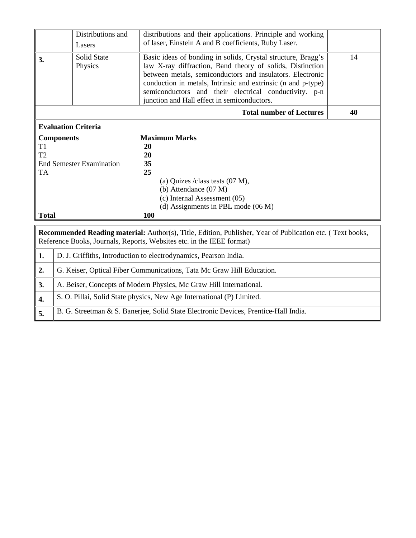|                                       | Distributions and<br>Lasers                          | distributions and their applications. Principle and working<br>of laser, Einstein A and B coefficients, Ruby Laser.                                                                                                                                                                                                                                            |    |
|---------------------------------------|------------------------------------------------------|----------------------------------------------------------------------------------------------------------------------------------------------------------------------------------------------------------------------------------------------------------------------------------------------------------------------------------------------------------------|----|
| 3.                                    | <b>Solid State</b><br>Physics                        | Basic ideas of bonding in solids, Crystal structure, Bragg's<br>law X-ray diffraction, Band theory of solids, Distinction<br>between metals, semiconductors and insulators. Electronic<br>conduction in metals, Intrinsic and extrinsic (n and p-type)<br>semiconductors and their electrical conductivity. p-n<br>junction and Hall effect in semiconductors. | 14 |
|                                       |                                                      | <b>Total number of Lectures</b>                                                                                                                                                                                                                                                                                                                                | 40 |
|                                       | <b>Evaluation Criteria</b>                           |                                                                                                                                                                                                                                                                                                                                                                |    |
| T1<br>T2<br><b>TA</b><br><b>Total</b> | <b>Components</b><br><b>End Semester Examination</b> | <b>Maximum Marks</b><br>20<br>20<br>35<br>25<br>(a) Quizes / class tests $(07 M)$ ,<br>(b) Attendance $(07 M)$<br>(c) Internal Assessment (05)<br>(d) Assignments in PBL mode $(06 M)$<br>100                                                                                                                                                                  |    |
|                                       |                                                      | <b>Recommended Reading material:</b> Author(s), Title, Edition, Publisher, Year of Publication etc. (Text books,<br>Reference Books, Journals, Reports, Websites etc. in the IEEE format)                                                                                                                                                                      |    |
| 1.                                    |                                                      | D. J. Griffiths, Introduction to electrodynamics, Pearson India.                                                                                                                                                                                                                                                                                               |    |
| 2.                                    |                                                      | G. Keiser, Optical Fiber Communications, Tata Mc Graw Hill Education.                                                                                                                                                                                                                                                                                          |    |
| 3.                                    |                                                      | A. Beiser, Concepts of Modern Physics, Mc Graw Hill International.                                                                                                                                                                                                                                                                                             |    |
| 4.                                    |                                                      | S. O. Pillai, Solid State physics, New Age International (P) Limited.                                                                                                                                                                                                                                                                                          |    |
| 5.                                    |                                                      | B. G. Streetman & S. Banerjee, Solid State Electronic Devices, Prentice-Hall India.                                                                                                                                                                                                                                                                            |    |

Ш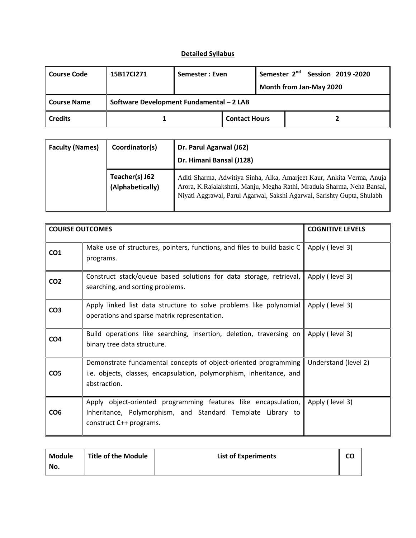## **Detailed Syllabus**

| <b>Course Code</b> | 15B17Cl271                               | Semester: Even |                      | Semester 2 <sup>nd</sup> Session 2019-2020<br>Month from Jan-May 2020 |
|--------------------|------------------------------------------|----------------|----------------------|-----------------------------------------------------------------------|
| <b>Course Name</b> | Software Development Fundamental - 2 LAB |                |                      |                                                                       |
| <b>Credits</b>     |                                          |                | <b>Contact Hours</b> |                                                                       |

| <b>Faculty (Names)</b> | Coordinator(s)                     | Dr. Parul Agarwal (J62)<br>Dr. Himani Bansal (J128)                                                                                                                                                                         |
|------------------------|------------------------------------|-----------------------------------------------------------------------------------------------------------------------------------------------------------------------------------------------------------------------------|
|                        | Teacher(s) J62<br>(Alphabetically) | Aditi Sharma, Adwitiya Sinha, Alka, Amarjeet Kaur, Ankita Verma, Anuja<br>Arora, K.Rajalakshmi, Manju, Megha Rathi, Mradula Sharma, Neha Bansal,<br>Niyati Aggrawal, Parul Agarwal, Sakshi Agarwal, Sarishty Gupta, Shulabh |

| <b>COURSE OUTCOMES</b> |                                                                                                                                                          | <b>COGNITIVE LEVELS</b> |
|------------------------|----------------------------------------------------------------------------------------------------------------------------------------------------------|-------------------------|
| CO <sub>1</sub>        | Make use of structures, pointers, functions, and files to build basic C<br>programs.                                                                     | Apply (level 3)         |
| CO <sub>2</sub>        | Construct stack/queue based solutions for data storage, retrieval,<br>searching, and sorting problems.                                                   | Apply (level 3)         |
| CO <sub>3</sub>        | Apply linked list data structure to solve problems like polynomial<br>operations and sparse matrix representation.                                       | Apply (level 3)         |
| CO <sub>4</sub>        | Build operations like searching, insertion, deletion, traversing on<br>binary tree data structure.                                                       | Apply (level 3)         |
| CO <sub>5</sub>        | Demonstrate fundamental concepts of object-oriented programming<br>i.e. objects, classes, encapsulation, polymorphism, inheritance, and<br>abstraction.  | Understand (level 2)    |
| CO <sub>6</sub>        | Apply object-oriented programming features like encapsulation,<br>Inheritance, Polymorphism, and Standard Template Library to<br>construct C++ programs. | Apply (level 3)         |

| <b>Module</b> | Title of the Module | <b>List of Experiments</b> |  |
|---------------|---------------------|----------------------------|--|
| No.           |                     |                            |  |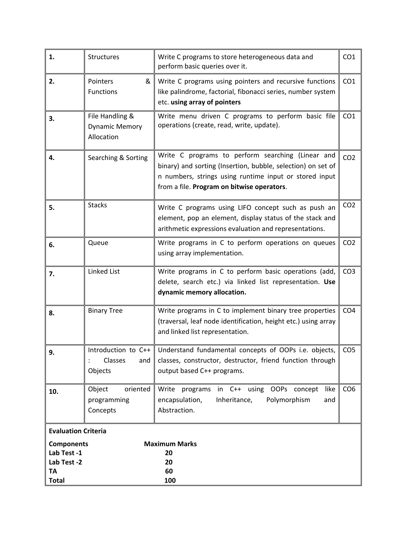| 1.                         | Structures                                             | Write C programs to store heterogeneous data and<br>perform basic queries over it.                                                                                                                                        | CO <sub>1</sub> |
|----------------------------|--------------------------------------------------------|---------------------------------------------------------------------------------------------------------------------------------------------------------------------------------------------------------------------------|-----------------|
| 2.                         | Pointers<br>&<br>Functions                             | Write C programs using pointers and recursive functions<br>like palindrome, factorial, fibonacci series, number system<br>etc. using array of pointers                                                                    | CO <sub>1</sub> |
| 3.                         | File Handling &<br><b>Dynamic Memory</b><br>Allocation | Write menu driven C programs to perform basic file<br>operations (create, read, write, update).                                                                                                                           | CO <sub>1</sub> |
| 4.                         | Searching & Sorting                                    | Write C programs to perform searching (Linear and<br>binary) and sorting (Insertion, bubble, selection) on set of<br>n numbers, strings using runtime input or stored input<br>from a file. Program on bitwise operators. | CO <sub>2</sub> |
| 5.                         | <b>Stacks</b>                                          | Write C programs using LIFO concept such as push an<br>element, pop an element, display status of the stack and<br>arithmetic expressions evaluation and representations.                                                 | CO <sub>2</sub> |
| 6.                         | Queue                                                  | Write programs in C to perform operations on queues<br>using array implementation.                                                                                                                                        | CO <sub>2</sub> |
| 7.                         | <b>Linked List</b>                                     | Write programs in C to perform basic operations (add,<br>delete, search etc.) via linked list representation. Use<br>dynamic memory allocation.                                                                           | CO <sub>3</sub> |
| 8.                         | <b>Binary Tree</b>                                     | Write programs in C to implement binary tree properties<br>(traversal, leaf node identification, height etc.) using array<br>and linked list representation.                                                              | CO <sub>4</sub> |
| 9.                         | Introduction to $C++$<br>Classes<br>and<br>Objects     | Understand fundamental concepts of OOPs i.e. objects,<br>classes, constructor, destructor, friend function through<br>output based C++ programs.                                                                          | CO <sub>5</sub> |
| 10.                        | Object<br>oriented<br>programming<br>Concepts          | in C++ using OOPs<br>Write<br>programs<br>concept<br>like<br>encapsulation,<br>Inheritance,<br>Polymorphism<br>and<br>Abstraction.                                                                                        | CO <sub>6</sub> |
| <b>Evaluation Criteria</b> |                                                        |                                                                                                                                                                                                                           |                 |
| <b>Components</b>          |                                                        | <b>Maximum Marks</b>                                                                                                                                                                                                      |                 |
| Lab Test -1                |                                                        | 20                                                                                                                                                                                                                        |                 |
| Lab Test -2<br>TA          |                                                        | 20<br>60                                                                                                                                                                                                                  |                 |
| <b>Total</b>               |                                                        | 100                                                                                                                                                                                                                       |                 |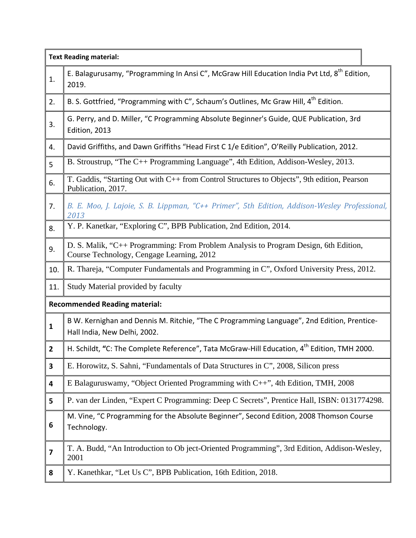|                | <b>Text Reading material:</b>                                                                                                     |
|----------------|-----------------------------------------------------------------------------------------------------------------------------------|
| 1.             | E. Balagurusamy, "Programming In Ansi C", McGraw Hill Education India Pvt Ltd, 8 <sup>th</sup> Edition,<br>2019.                  |
| 2.             | B. S. Gottfried, "Programming with C", Schaum's Outlines, Mc Graw Hill, 4 <sup>th</sup> Edition.                                  |
| 3.             | G. Perry, and D. Miller, "C Programming Absolute Beginner's Guide, QUE Publication, 3rd<br>Edition, 2013                          |
| 4.             | David Griffiths, and Dawn Griffiths "Head First C 1/e Edition", O'Reilly Publication, 2012.                                       |
| 5              | B. Stroustrup, "The C++ Programming Language", 4th Edition, Addison-Wesley, 2013.                                                 |
| 6.             | T. Gaddis, "Starting Out with C++ from Control Structures to Objects", 9th edition, Pearson<br>Publication, 2017.                 |
| 7.             | B. E. Moo, J. Lajoie, S. B. Lippman, "C++ Primer", 5th Edition, Addison-Wesley Professional,<br>2013                              |
| 8.             | Y. P. Kanetkar, "Exploring C", BPB Publication, 2nd Edition, 2014.                                                                |
| 9.             | D. S. Malik, "C++ Programming: From Problem Analysis to Program Design, 6th Edition,<br>Course Technology, Cengage Learning, 2012 |
| 10.            | R. Thareja, "Computer Fundamentals and Programming in C", Oxford University Press, 2012.                                          |
| 11.            | Study Material provided by faculty                                                                                                |
|                | <b>Recommended Reading material:</b>                                                                                              |
| $\mathbf{1}$   | B W. Kernighan and Dennis M. Ritchie, "The C Programming Language", 2nd Edition, Prentice-<br>Hall India, New Delhi, 2002.        |
| $\overline{2}$ | H. Schildt, "C: The Complete Reference", Tata McGraw-Hill Education, 4 <sup>th</sup> Edition, TMH 2000.                           |
| 3              | E. Horowitz, S. Sahni, "Fundamentals of Data Structures in C", 2008, Silicon press                                                |
| 4              | E Balaguruswamy, "Object Oriented Programming with C++", 4th Edition, TMH, 2008                                                   |
| 5              | P. van der Linden, "Expert C Programming: Deep C Secrets", Prentice Hall, ISBN: 0131774298.                                       |
| 6              | M. Vine, "C Programming for the Absolute Beginner", Second Edition, 2008 Thomson Course<br>Technology.                            |
| 7              | T. A. Budd, "An Introduction to Ob ject-Oriented Programming", 3rd Edition, Addison-Wesley,<br>2001                               |
| 8              | Y. Kanethkar, "Let Us C", BPB Publication, 16th Edition, 2018.                                                                    |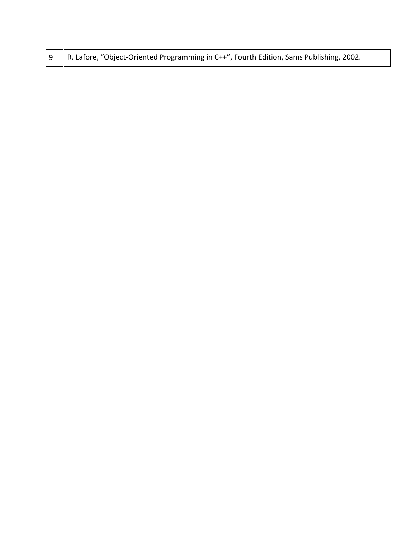|  | 9   R. Lafore, "Object-Oriented Programming in C++", Fourth Edition, Sams Publishing, 2002. |
|--|---------------------------------------------------------------------------------------------|
|--|---------------------------------------------------------------------------------------------|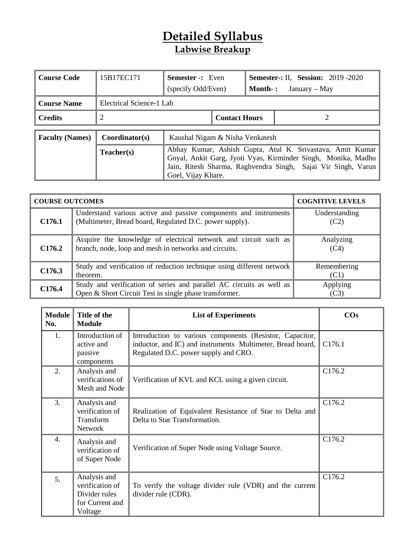# **Detailed Syllabus Labwise Breakup**

| <b>Course Code</b>     | 15B17EC171               | <b>Semester -:</b> Even<br>(specify Odd/Even)                                                                                                                                                                     |  | <b>Semester-: II, Session: 2019 -2020</b><br><b>Month</b> -:<br>January – May |  |  |
|------------------------|--------------------------|-------------------------------------------------------------------------------------------------------------------------------------------------------------------------------------------------------------------|--|-------------------------------------------------------------------------------|--|--|
| <b>Course Name</b>     | Electrical Science-1 Lab |                                                                                                                                                                                                                   |  |                                                                               |  |  |
| <b>Credits</b>         | 2                        | <b>Contact Hours</b>                                                                                                                                                                                              |  |                                                                               |  |  |
| <b>Faculty (Names)</b> | Coordinator(s)           | Kaushal Nigam & Nisha Venkatesh                                                                                                                                                                                   |  |                                                                               |  |  |
|                        | Teacher(s)               | Abhay Kumar, Ashish Gupta, Atul K. Srivastava, Amit Kumar<br>Goyal, Ankit Garg, Jyoti Vyas, Kirminder Singh, Monika, Madhu<br>Jain, Ritesh Sharma, Raghvendra Singh, Sajai Vir Singh, Varun<br>Goel, Vijay Khare. |  |                                                                               |  |  |

| <b>COURSE OUTCOMES</b> |                                                                                                                                | <b>COGNITIVE LEVELS</b> |
|------------------------|--------------------------------------------------------------------------------------------------------------------------------|-------------------------|
| C <sub>176.1</sub>     | Understand various active and passive components and instruments<br>(Multimeter, Bread board, Regulated D.C. power supply).    | Understanding<br>(C2)   |
| C <sub>176.2</sub>     | Acquire the knowledge of electrical network and circuit such as<br>branch, node, loop and mesh in networks and circuits.       | Analyzing<br>(C4)       |
| C <sub>176.3</sub>     | Study and verification of reduction technique using different network<br>theorem.                                              | Remembering<br>(C1)     |
| C176.4                 | Study and verification of series and parallel AC circuits as well as<br>Open & Short Circuit Test in single phase transformer. | Applying<br>(C3)        |

| <b>Module</b><br>No. | Title of the<br><b>Module</b>                                                  | <b>List of Experiments</b>                                                                                                                                     | $\cos$ |
|----------------------|--------------------------------------------------------------------------------|----------------------------------------------------------------------------------------------------------------------------------------------------------------|--------|
| 1.                   | Introduction of<br>active and<br>passive<br>components                         | Introduction to various components (Resistor, Capacitor,<br>inductor, and IC) and instruments Multimeter, Bread board,<br>Regulated D.C. power supply and CRO. | C176.1 |
| 2.                   | Analysis and<br>verifications of<br>Mesh and Node                              | Verification of KVL and KCL using a given circuit.                                                                                                             | C176.2 |
| 3.                   | Analysis and<br>verification of<br>Transform<br>Network                        | Realization of Equivalent Resistance of Star to Delta and<br>Delta to Star Transformation.                                                                     | C176.2 |
| 4.                   | Analysis and<br>verification of<br>of Super Node                               | Verification of Super Node using Voltage Source.                                                                                                               | C176.2 |
| 5 <sub>1</sub>       | Analysis and<br>verification of<br>Divider rules<br>for Current and<br>Voltage | To verify the voltage divider rule (VDR) and the current<br>divider rule (CDR).                                                                                | C176.2 |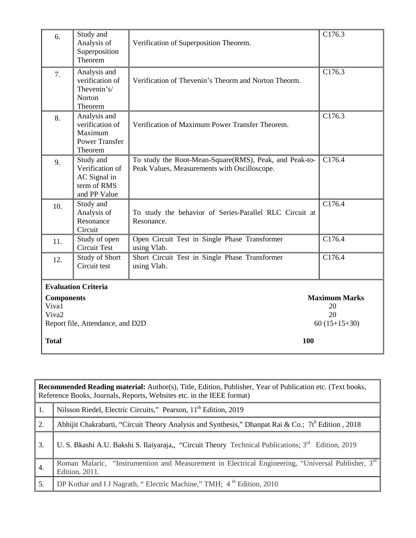| 6.                         | Study and<br>Analysis of<br>Superposition<br>Theorem                           | Verification of Superposition Theorem.                                                                 | C176.3                     |
|----------------------------|--------------------------------------------------------------------------------|--------------------------------------------------------------------------------------------------------|----------------------------|
| 7.                         | Analysis and<br>verification of<br>Thevenin's/<br>Norton<br>Theorem            | Verification of Thevenin's Theorm and Norton Theorm.                                                   | C176.3                     |
| 8.                         | Analysis and<br>verification of<br>Maximum<br><b>Power Transfer</b><br>Theorem | Verification of Maximum Power Transfer Theorem.                                                        | C176.3                     |
| 9.                         | Study and<br>Verification of<br>AC Signal in<br>term of RMS<br>and PP Value    | To study the Root-Mean-Square(RMS), Peak, and Peak-to-<br>Peak Values, Measurements with Oscilloscope. | C176.4                     |
| 10.                        | Study and<br>Analysis of<br>Resonance<br>Circuit                               | To study the behavior of Series-Parallel RLC Circuit at<br>Resonance.                                  | C176.4                     |
| 11.                        | Study of open<br>Circuit Test                                                  | Open Circuit Test in Single Phase Transformer<br>using Vlab.                                           | C176.4                     |
| 12.                        | <b>Study of Short</b><br>Circuit test                                          | Short Circuit Test in Single Phase Transformer<br>using Vlab.                                          | C176.4                     |
|                            | <b>Evaluation Criteria</b>                                                     |                                                                                                        |                            |
| <b>Components</b><br>Viva1 |                                                                                |                                                                                                        | <b>Maximum Marks</b><br>20 |
| Viva <sub>2</sub>          |                                                                                |                                                                                                        | 20                         |
|                            | Report file, Attendance, and D2D                                               |                                                                                                        | $60(15+15+30)$             |
| <b>Total</b>               |                                                                                | 100                                                                                                    |                            |

|     | <b>Recommended Reading material:</b> Author(s), Title, Edition, Publisher, Year of Publication etc. (Text books,<br>Reference Books, Journals, Reports, Websites etc. in the IEEE format) |  |  |  |  |  |
|-----|-------------------------------------------------------------------------------------------------------------------------------------------------------------------------------------------|--|--|--|--|--|
| 1.  | Nilsson Riedel, Electric Circuits," Pearson, 11 <sup>th</sup> Edition, 2019                                                                                                               |  |  |  |  |  |
| 2.  | Abhijit Chakrabarti, "Circuit Theory Analysis and Synthesis," Dhanpat Rai & Co.; 7th Edition, 2018                                                                                        |  |  |  |  |  |
| 3.  | U. S. Bkashi A.U. Bakshi S. Ilaiyaraja,, "Circuit Theory Technical Publications; $3rd$ Edition, 2019                                                                                      |  |  |  |  |  |
| -4. | Roman Malaric, "Instrumention and Measurement in Electrical Engineering, "Universal Publisher, 3rd<br>Edition, 2011.                                                                      |  |  |  |  |  |
| 5.  | DP Kothar and I J Nagrath, "Electric Machine," TMH; 4 <sup>th</sup> Edition, 2010                                                                                                         |  |  |  |  |  |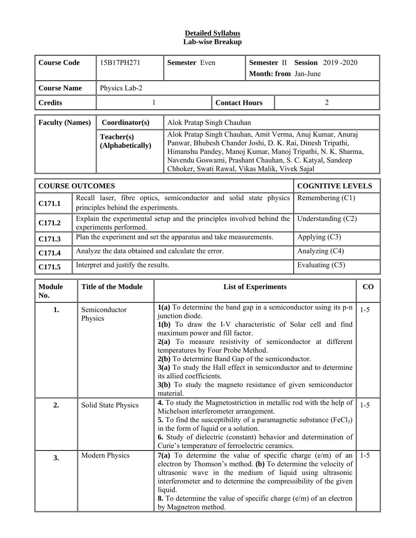#### **Detailed Syllabus Lab-wise Breakup**

| <b>Course Code</b>     | 15B17PH271                     | <b>Semester</b> Even                                                                                                                                                                                                                                                                                 |  | <b>Semester II Session 2019-2020</b><br><b>Month: from</b> Jan-June |  |  |  |
|------------------------|--------------------------------|------------------------------------------------------------------------------------------------------------------------------------------------------------------------------------------------------------------------------------------------------------------------------------------------------|--|---------------------------------------------------------------------|--|--|--|
| <b>Course Name</b>     | Physics Lab-2                  |                                                                                                                                                                                                                                                                                                      |  |                                                                     |  |  |  |
| <b>Credits</b>         |                                | <b>Contact Hours</b>                                                                                                                                                                                                                                                                                 |  |                                                                     |  |  |  |
| <b>Faculty (Names)</b> | Coordinator(s)                 | Alok Pratap Singh Chauhan                                                                                                                                                                                                                                                                            |  |                                                                     |  |  |  |
|                        | Teacher(s)<br>(Alphabetically) | Alok Pratap Singh Chauhan, Amit Verma, Anuj Kumar, Anuraj<br>Panwar, Bhubesh Chander Joshi, D. K. Rai, Dinesh Tripathi,<br>Himanshu Pandey, Manoj Kumar, Manoj Tripathi, N. K. Sharma,<br>Navendu Goswami, Prashant Chauhan, S. C. Katyal, Sandeep<br>Chhoker, Swati Rawal, Vikas Malik, Vivek Sajal |  |                                                                     |  |  |  |

|                    | <b>COURSE OUTCOMES</b>                                                                                  | <b>COGNITIVE LEVELS</b> |
|--------------------|---------------------------------------------------------------------------------------------------------|-------------------------|
| C171.1             | Recall laser, fibre optics, semiconductor and solid state physics<br>principles behind the experiments. | Remembering $(C1)$      |
| C171.2             | Explain the experimental setup and the principles involved behind the<br>experiments performed.         | Understanding $(C2)$    |
| C <sub>171.3</sub> | Plan the experiment and set the apparatus and take measurements.                                        | Applying $(C3)$         |
| C171.4             | Analyze the data obtained and calculate the error.                                                      | Analyzing (C4)          |
| C <sub>171.5</sub> | Interpret and justify the results.                                                                      | Evaluating $(C5)$       |

| <b>Module</b><br>No. | <b>Title of the Module</b> | <b>List of Experiments</b>                                                                                                                                                                                                                                                                                                                                                                                                                                                                                           | CO      |
|----------------------|----------------------------|----------------------------------------------------------------------------------------------------------------------------------------------------------------------------------------------------------------------------------------------------------------------------------------------------------------------------------------------------------------------------------------------------------------------------------------------------------------------------------------------------------------------|---------|
| 1.                   | Semiconductor<br>Physics   | 1(a) To determine the band gap in a semiconductor using its p-n<br>junction diode.<br>1(b) To draw the I-V characteristic of Solar cell and find<br>maximum power and fill factor.<br>2(a) To measure resistivity of semiconductor at different<br>temperatures by Four Probe Method.<br>2(b) To determine Band Gap of the semiconductor.<br>3(a) To study the Hall effect in semiconductor and to determine<br>its allied coefficients.<br>3(b) To study the magneto resistance of given semiconductor<br>material. | $1 - 5$ |
| 2.                   | Solid State Physics        | 4. To study the Magnetostriction in metallic rod with the help of<br>Michelson interferometer arrangement.<br><b>5.</b> To find the susceptibility of a paramagnetic substance $(FeCl3)$<br>in the form of liquid or a solution.<br><b>6.</b> Study of dielectric (constant) behavior and determination of<br>Curie's temperature of ferroelectric ceramics.                                                                                                                                                         | $1 - 5$ |
| 3.                   | <b>Modern Physics</b>      | $7(a)$ To determine the value of specific charge (e/m) of an<br>electron by Thomson's method. (b) To determine the velocity of<br>ultrasonic wave in the medium of liquid using ultrasonic<br>interferometer and to determine the compressibility of the given<br>liquid.<br><b>8.</b> To determine the value of specific charge $(e/m)$ of an electron<br>by Magnetron method.                                                                                                                                      | $1 - 5$ |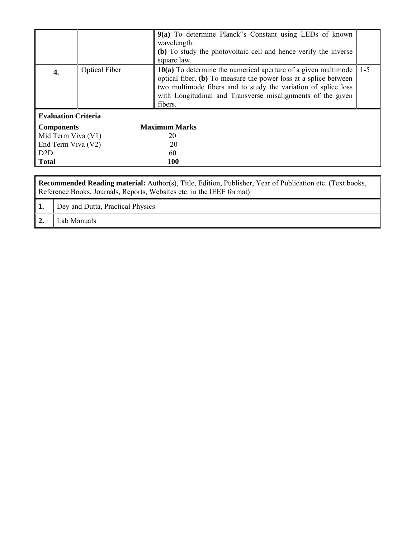|                                                                                                                                                                                           |                      | 9(a) To determine Planck"s Constant using LEDs of known<br>wavelength.<br>(b) To study the photovoltaic cell and hence verify the inverse                                                                                                                                        |         |  |  |
|-------------------------------------------------------------------------------------------------------------------------------------------------------------------------------------------|----------------------|----------------------------------------------------------------------------------------------------------------------------------------------------------------------------------------------------------------------------------------------------------------------------------|---------|--|--|
|                                                                                                                                                                                           |                      | square law.                                                                                                                                                                                                                                                                      |         |  |  |
| 4.                                                                                                                                                                                        | <b>Optical Fiber</b> | $10(a)$ To determine the numerical aperture of a given multimode<br>optical fiber. (b) To measure the power loss at a splice between<br>two multimode fibers and to study the variation of splice loss<br>with Longitudinal and Transverse misalignments of the given<br>fibers. | $1 - 5$ |  |  |
| <b>Evaluation Criteria</b>                                                                                                                                                                |                      |                                                                                                                                                                                                                                                                                  |         |  |  |
|                                                                                                                                                                                           |                      |                                                                                                                                                                                                                                                                                  |         |  |  |
| <b>Components</b>                                                                                                                                                                         |                      | <b>Maximum Marks</b>                                                                                                                                                                                                                                                             |         |  |  |
| Mid Term Viva (V1)                                                                                                                                                                        |                      | 20                                                                                                                                                                                                                                                                               |         |  |  |
| End Term Viva (V2)                                                                                                                                                                        |                      | 20                                                                                                                                                                                                                                                                               |         |  |  |
| D2D                                                                                                                                                                                       |                      | 60                                                                                                                                                                                                                                                                               |         |  |  |
| <b>Total</b>                                                                                                                                                                              |                      | <b>100</b>                                                                                                                                                                                                                                                                       |         |  |  |
|                                                                                                                                                                                           |                      |                                                                                                                                                                                                                                                                                  |         |  |  |
| <b>Recommended Reading material:</b> Author(s), Title, Edition, Publisher, Year of Publication etc. (Text books,<br>Reference Books, Journals, Reports, Websites etc. in the IEEE format) |                      |                                                                                                                                                                                                                                                                                  |         |  |  |

|    | Dey and Dutta, Practical Physics |
|----|----------------------------------|
| ∸∙ | Lab Manuals                      |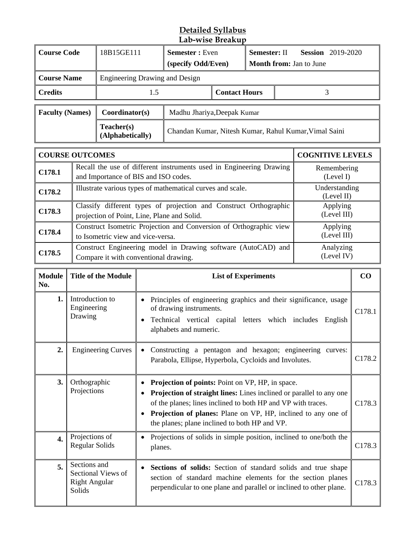## **Detailed Syllabus Lab-wise Breakup**

|                        | <b>Course Code</b><br>18B15GE111<br><b>Semester:</b> Even<br>Semester: II<br>(specify Odd/Even)<br><b>Month from:</b> Jan to June           |                                                            |                                                       | <b>Session</b> 2019-2020 |  |                          |                             |
|------------------------|---------------------------------------------------------------------------------------------------------------------------------------------|------------------------------------------------------------|-------------------------------------------------------|--------------------------|--|--------------------------|-----------------------------|
| <b>Course Name</b>     |                                                                                                                                             | Engineering Drawing and Design                             |                                                       |                          |  |                          |                             |
| <b>Credits</b>         |                                                                                                                                             | 1.5                                                        |                                                       | <b>Contact Hours</b>     |  |                          | 3                           |
| <b>Faculty (Names)</b> |                                                                                                                                             | Coordinator(s)                                             | Madhu Jhariya, Deepak Kumar                           |                          |  |                          |                             |
|                        |                                                                                                                                             | Teacher(s)<br>(Alphabetically)                             | Chandan Kumar, Nitesh Kumar, Rahul Kumar, Vimal Saini |                          |  |                          |                             |
|                        | <b>COURSE OUTCOMES</b><br><b>COGNITIVE LEVELS</b>                                                                                           |                                                            |                                                       |                          |  |                          |                             |
| C178.1                 | Recall the use of different instruments used in Engineering Drawing<br>and Importance of BIS and ISO codes.                                 |                                                            |                                                       |                          |  | Remembering<br>(Level I) |                             |
| C178.2                 |                                                                                                                                             | Illustrate various types of mathematical curves and scale. |                                                       |                          |  |                          | Understanding<br>(Level II) |
| C178.3                 | Classify different types of projection and Construct Orthographic<br>Applying<br>(Level III)<br>projection of Point, Line, Plane and Solid. |                                                            |                                                       |                          |  |                          |                             |
| C178.4                 | Construct Isometric Projection and Conversion of Orthographic view<br>to Isometric view and vice-versa.                                     |                                                            |                                                       |                          |  | Applying<br>(Level III)  |                             |
| C178.5                 | Construct Engineering model in Drawing software (AutoCAD) and<br>Compare it with conventional drawing.                                      |                                                            |                                                       |                          |  | Analyzing<br>(Level IV)  |                             |

| <b>Module</b><br>No. | <b>Title of the Module</b>                                           | <b>List of Experiments</b>                                                                                                                                                                                                                                                                                       | CO                 |
|----------------------|----------------------------------------------------------------------|------------------------------------------------------------------------------------------------------------------------------------------------------------------------------------------------------------------------------------------------------------------------------------------------------------------|--------------------|
| 1.                   | Introduction to<br>Engineering<br>Drawing                            | Principles of engineering graphics and their significance, usage<br>of drawing instruments.<br>Technical vertical capital letters which includes English<br>alphabets and numeric.                                                                                                                               | C178.1             |
| 2.                   | <b>Engineering Curves</b>                                            | Constructing a pentagon and hexagon; engineering curves:<br>Parabola, Ellipse, Hyperbola, Cycloids and Involutes.                                                                                                                                                                                                | C178.2             |
| 3.                   | Orthographic<br>Projections                                          | <b>Projection of points:</b> Point on VP, HP, in space.<br>Projection of straight lines: Lines inclined or parallel to any one<br>of the planes; lines inclined to both HP and VP with traces.<br>Projection of planes: Plane on VP, HP, inclined to any one of<br>the planes; plane inclined to both HP and VP. | C178.3             |
| $\overline{4}$ .     | Projections of<br><b>Regular Solids</b>                              | Projections of solids in simple position, inclined to one/both the<br>planes.                                                                                                                                                                                                                                    | C178.3             |
| 5.                   | Sections and<br>Sectional Views of<br><b>Right Angular</b><br>Solids | Sections of solids: Section of standard solids and true shape<br>$\bullet$<br>section of standard machine elements for the section planes<br>perpendicular to one plane and parallel or inclined to other plane.                                                                                                 | C <sub>178.3</sub> |